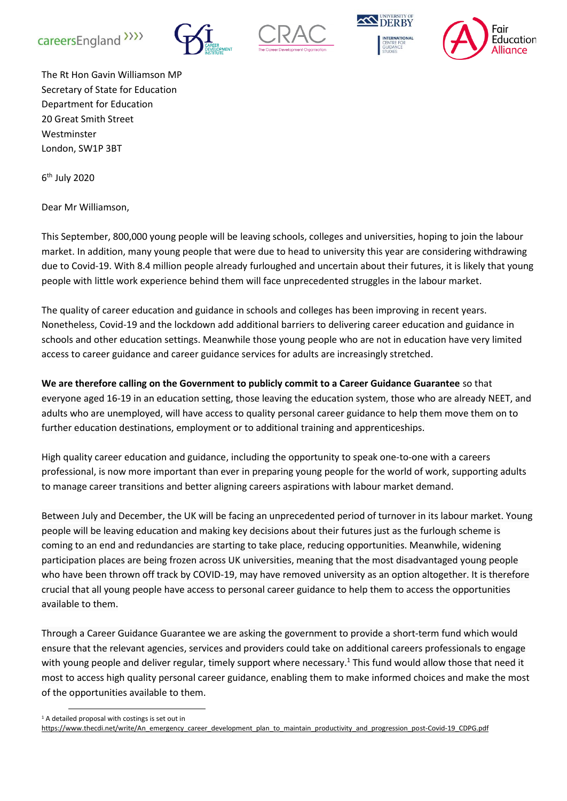









The Rt Hon Gavin Williamson MP Secretary of State for Education Department for Education 20 Great Smith Street Westminster London, SW1P 3BT

6<sup>th</sup> July 2020

Dear Mr Williamson,

This September, 800,000 young people will be leaving schools, colleges and universities, hoping to join the labour market. In addition, many young people that were due to head to university this year are considering withdrawing due to Covid-19. With 8.4 million people already furloughed and uncertain about their futures, it is likely that young people with little work experience behind them will face unprecedented struggles in the labour market.

The quality of career education and guidance in schools and colleges has been improving in recent years. Nonetheless, Covid-19 and the lockdown add additional barriers to delivering career education and guidance in schools and other education settings. Meanwhile those young people who are not in education have very limited access to career guidance and career guidance services for adults are increasingly stretched.

**We are therefore calling on the Government to publicly commit to a Career Guidance Guarantee** so that everyone aged 16-19 in an education setting, those leaving the education system, those who are already NEET, and adults who are unemployed, will have access to quality personal career guidance to help them move them on to further education destinations, employment or to additional training and apprenticeships.

High quality career education and guidance, including the opportunity to speak one-to-one with a careers professional, is now more important than ever in preparing young people for the world of work, supporting adults to manage career transitions and better aligning careers aspirations with labour market demand.

Between July and December, the UK will be facing an unprecedented period of turnover in its labour market. Young people will be leaving education and making key decisions about their futures just as the furlough scheme is coming to an end and redundancies are starting to take place, reducing opportunities. Meanwhile, widening participation places are being frozen across UK universities, meaning that the most disadvantaged young people who have been thrown off track by COVID-19, may have removed university as an option altogether. It is therefore crucial that all young people have access to personal career guidance to help them to access the opportunities available to them.

Through a Career Guidance Guarantee we are asking the government to provide a short-term fund which would ensure that the relevant agencies, services and providers could take on additional careers professionals to engage with young people and deliver regular, timely support where necessary.<sup>1</sup> This fund would allow those that need it most to access high quality personal career guidance, enabling them to make informed choices and make the most of the opportunities available to them.

<sup>1</sup> A detailed proposal with costings is set out in

[https://www.thecdi.net/write/An\\_emergency\\_career\\_development\\_plan\\_to\\_maintain\\_productivity\\_and\\_progression\\_post-Covid-19\\_CDPG.pdf](https://www.thecdi.net/write/An_emergency_career_development_plan_to_maintain_productivity_and_progression_post-Covid-19_CDPG.pdf)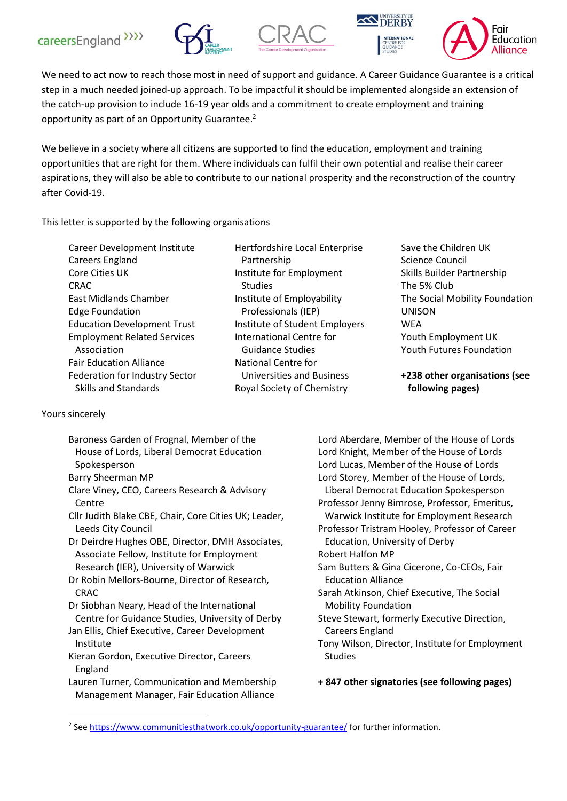







We need to act now to reach those most in need of support and guidance. A Career Guidance Guarantee is a critical step in a much needed joined-up approach. To be impactful it should be implemented alongside an extension of the catch-up provision to include 16-19 year olds and a commitment to create employment and training opportunity as part of an Opportunity Guarantee.<sup>2</sup>

We believe in a society where all citizens are supported to find the education, employment and training opportunities that are right for them. Where individuals can fulfil their own potential and realise their career aspirations, they will also be able to contribute to our national prosperity and the reconstruction of the country after Covid-19.

This letter is supported by the following organisations

Hertfordshire Local Enterprise Partnership Institute for Employment Studies Institute of Employability Professionals (IEP) Institute of Student Employers International Centre for Guidance Studies National Centre for Universities and Business Royal Society of Chemistry

Save the Children UK Science Council Skills Builder Partnership The 5% Club The Social Mobility Foundation UNISON **WEA** Youth Employment UK Youth Futures Foundation

**+238 other organisations (see following pages)**

Yours sincerely

Baroness Garden of Frognal, Member of the House of Lords, Liberal Democrat Education Spokesperson Barry Sheerman MP Clare Viney, CEO, Careers Research & Advisory Centre Cllr Judith Blake CBE, Chair, Core Cities UK; Leader, Leeds City Council Dr Deirdre Hughes OBE, Director, DMH Associates, Associate Fellow, Institute for Employment Research (IER), University of Warwick Dr Robin Mellors-Bourne, Director of Research, CRAC Dr Siobhan Neary, Head of the International Centre for Guidance Studies, University of Derby Jan Ellis, Chief Executive, Career Development Institute Kieran Gordon, Executive Director, Careers England Lauren Turner, Communication and Membership Management Manager, Fair Education Alliance

Lord Aberdare, Member of the House of Lords Lord Knight, Member of the House of Lords Lord Lucas, Member of the House of Lords Lord Storey, Member of the House of Lords, Liberal Democrat Education Spokesperson Professor Jenny Bimrose, Professor, Emeritus, Warwick Institute for Employment Research Professor Tristram Hooley, Professor of Career Education, University of Derby Robert Halfon MP Sam Butters & Gina Cicerone, Co-CEOs, Fair Education Alliance Sarah Atkinson, Chief Executive, The Social Mobility Foundation Steve Stewart, formerly Executive Direction, Careers England Tony Wilson, Director, Institute for Employment Studies

**+ 847 other signatories (see following pages)**

<sup>&</sup>lt;sup>2</sup> See<https://www.communitiesthatwork.co.uk/opportunity-guarantee/> for further information.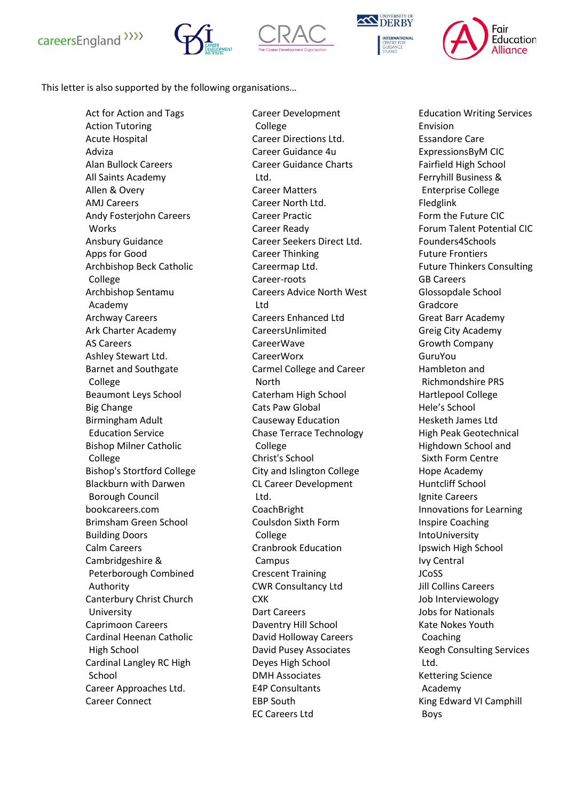







This letter is also supported by the following organisations…

Act for Action and Tags Action Tutoring Acute Hospital Adviza Alan Bullock Careers All Saints Academy Allen & Overy AMJ Careers Andy Fosterjohn Careers Works Ansbury Guidance Apps for Good Archbishop Beck Catholic College Archbishop Sentamu Academy Archway Careers Ark Charter Academy AS Careers Ashley Stewart Ltd. Barnet and Southgate College Beaumont Leys School Big Change Birmingham Adult Education Service Bishop Milner Catholic College Bishop's Stortford College Blackburn with Darwen Borough Council bookcareers.com Brimsham Green School Building Doors Calm Careers Cambridgeshire & Peterborough Combined Authority Canterbury Christ Church University Caprimoon Careers Cardinal Heenan Catholic High School Cardinal Langley RC High School Career Approaches Ltd. Career Connect

Career Development College Career Directions Ltd. Career Guidance 4u Career Guidance Charts Ltd. Career Matters Career North Ltd. Career Practic Career Ready Career Seekers Direct Ltd. Career Thinking Careermap Ltd. Career-roots Careers Advice North West Ltd Careers Enhanced Ltd CareersUnlimited CareerWave CareerWorx Carmel College and Career North Caterham High School Cats Paw Global Causeway Education Chase Terrace Technology College Christ's School City and Islington College CL Career Development Ltd. CoachBright Coulsdon Sixth Form College Cranbrook Education Campus Crescent Training CWR Consultancy Ltd **CXK** Dart Careers Daventry Hill School David Holloway Careers David Pusey Associates Deyes High School DMH Associates E4P Consultants EBP South EC Careers Ltd

Education Writing Services Envision Essandore Care ExpressionsByM CIC Fairfield High School Ferryhill Business & Enterprise College Fledglink Form the Future CIC Forum Talent Potential CIC Founders4Schools Future Frontiers Future Thinkers Consulting GB Careers Glossopdale School Gradcore Great Barr Academy Greig City Academy Growth Company GuruYou Hambleton and Richmondshire PRS Hartlepool College Hele's School Hesketh James Ltd High Peak Geotechnical Highdown School and Sixth Form Centre Hope Academy Huntcliff School Ignite Careers Innovations for Learning Inspire Coaching IntoUniversity Ipswich High School Ivy Central JCoSS Jill Collins Careers Job Interviewology Jobs for Nationals Kate Nokes Youth Coaching Keogh Consulting Services Ltd. Kettering Science Academy King Edward VI Camphill Boys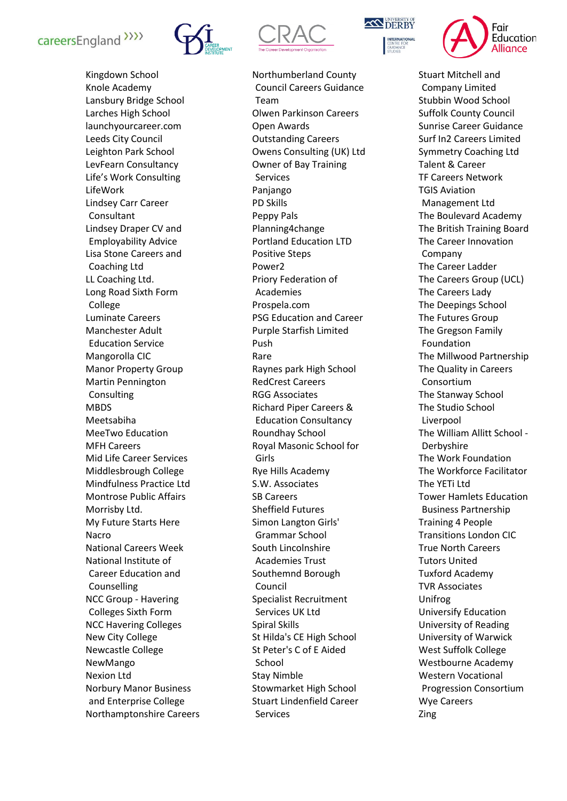



Northumberland County Council Careers Guidance Team Olwen Parkinson Careers Open Awards Outstanding Careers Owens Consulting (UK) Ltd Owner of Bay Training Services Panjango PD Skills Peppy Pals Planning4change Portland Education LTD Positive Steps Power2 Priory Federation of Academies Prospela.com PSG Education and Career Purple Starfish Limited Push Rare Raynes park High School RedCrest Careers RGG Associates Richard Piper Careers & Education Consultancy Roundhay School Royal Masonic School for Girls Rye Hills Academy S.W. Associates SB Careers Sheffield Futures Simon Langton Girls' Grammar School South Lincolnshire Academies Trust Southemnd Borough Council Specialist Recruitment Services UK Ltd Spiral Skills St Hilda's CE High School St Peter's C of E Aided School Stay Nimble Stowmarket High School Stuart Lindenfield Career Services





Stuart Mitchell and Company Limited Stubbin Wood School Suffolk County Council Sunrise Career Guidance Surf In2 Careers Limited Symmetry Coaching Ltd Talent & Career TF Careers Network TGIS Aviation Management Ltd The Boulevard Academy The British Training Board The Career Innovation Company The Career Ladder The Careers Group (UCL) The Careers Lady The Deepings School The Futures Group The Gregson Family Foundation The Millwood Partnership The Quality in Careers Consortium The Stanway School The Studio School Liverpool The William Allitt School - Derbyshire The Work Foundation The Workforce Facilitator The YETi Ltd Tower Hamlets Education Business Partnership Training 4 People Transitions London CIC True North Careers Tutors United Tuxford Academy TVR Associates Unifrog Universify Education University of Reading University of Warwick West Suffolk College Westbourne Academy Western Vocational Progression Consortium Wye Careers Zing

Kingdown School Knole Academy Lansbury Bridge School Larches High School launchyourcareer.com Leeds City Council Leighton Park School LevFearn Consultancy Life's Work Consulting LifeWork Lindsey Carr Career Consultant Lindsey Draper CV and Employability Advice Lisa Stone Careers and Coaching Ltd LL Coaching Ltd. Long Road Sixth Form College Luminate Careers Manchester Adult Education Service Mangorolla CIC Manor Property Group Martin Pennington Consulting MBDS Meetsabiha MeeTwo Education MFH Careers Mid Life Career Services Middlesbrough College Mindfulness Practice Ltd Montrose Public Affairs Morrisby Ltd. My Future Starts Here Nacro National Careers Week National Institute of Career Education and Counselling NCC Group - Havering Colleges Sixth Form NCC Havering Colleges New City College Newcastle College NewMango Nexion Ltd Norbury Manor Business and Enterprise College Northamptonshire Careers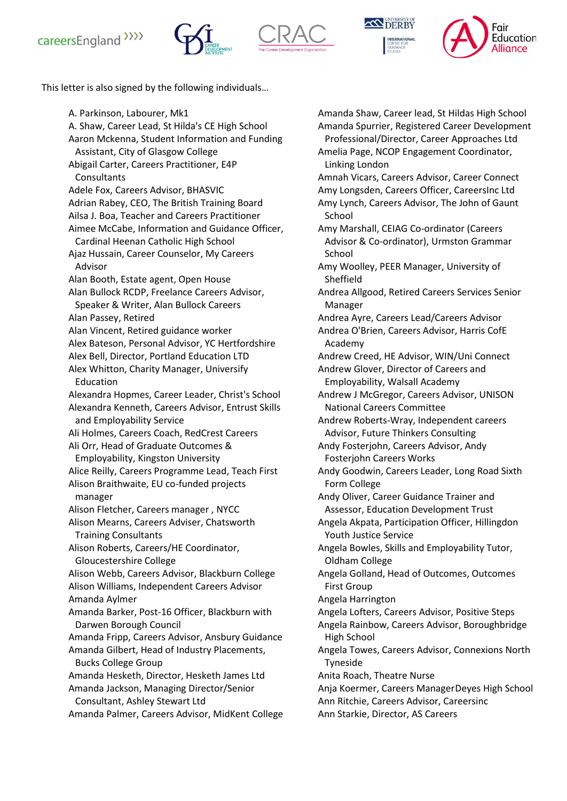







This letter is also signed by the following individuals…

A. Parkinson, Labourer, Mk1 A. Shaw, Career Lead, St Hilda's CE High School Aaron Mckenna, Student Information and Funding Assistant, City of Glasgow College Abigail Carter, Careers Practitioner, E4P **Consultants** Adele Fox, Careers Advisor, BHASVIC Adrian Rabey, CEO, The British Training Board Ailsa J. Boa, Teacher and Careers Practitioner Aimee McCabe, Information and Guidance Officer, Cardinal Heenan Catholic High School Ajaz Hussain, Career Counselor, My Careers Advisor Alan Booth, Estate agent, Open House Alan Bullock RCDP, Freelance Careers Advisor, Speaker & Writer, Alan Bullock Careers Alan Passey, Retired Alan Vincent, Retired guidance worker Alex Bateson, Personal Advisor, YC Hertfordshire Alex Bell, Director, Portland Education LTD Alex Whitton, Charity Manager, Universify Education Alexandra Hopmes, Career Leader, Christ's School Alexandra Kenneth, Careers Advisor, Entrust Skills and Employability Service Ali Holmes, Careers Coach, RedCrest Careers Ali Orr, Head of Graduate Outcomes & Employability, Kingston University Alice Reilly, Careers Programme Lead, Teach First Alison Braithwaite, EU co-funded projects manager Alison Fletcher, Careers manager , NYCC Alison Mearns, Careers Adviser, Chatsworth Training Consultants Alison Roberts, Careers/HE Coordinator, Gloucestershire College Alison Webb, Careers Advisor, Blackburn College Alison Williams, Independent Careers Advisor Amanda Aylmer Amanda Barker, Post-16 Officer, Blackburn with Darwen Borough Council Amanda Fripp, Careers Advisor, Ansbury Guidance Amanda Gilbert, Head of Industry Placements, Bucks College Group Amanda Hesketh, Director, Hesketh James Ltd Amanda Jackson, Managing Director/Senior Consultant, Ashley Stewart Ltd Amanda Palmer, Careers Advisor, MidKent College

Amanda Shaw, Career lead, St Hildas High School Amanda Spurrier, Registered Career Development Professional/Director, Career Approaches Ltd Amelia Page, NCOP Engagement Coordinator, Linking London Amnah Vicars, Careers Advisor, Career Connect Amy Longsden, Careers Officer, CareersInc Ltd Amy Lynch, Careers Advisor, The John of Gaunt School Amy Marshall, CEIAG Co-ordinator (Careers Advisor & Co-ordinator), Urmston Grammar School Amy Woolley, PEER Manager, University of Sheffield Andrea Allgood, Retired Careers Services Senior Manager Andrea Ayre, Careers Lead/Careers Advisor Andrea O'Brien, Careers Advisor, Harris CofE Academy Andrew Creed, HE Advisor, WIN/Uni Connect Andrew Glover, Director of Careers and Employability, Walsall Academy Andrew J McGregor, Careers Advisor, UNISON National Careers Committee Andrew Roberts-Wray, Independent careers Advisor, Future Thinkers Consulting Andy Fosterjohn, Careers Advisor, Andy Fosterjohn Careers Works Andy Goodwin, Careers Leader, Long Road Sixth Form College Andy Oliver, Career Guidance Trainer and Assessor, Education Development Trust Angela Akpata, Participation Officer, Hillingdon Youth Justice Service Angela Bowles, Skills and Employability Tutor, Oldham College Angela Golland, Head of Outcomes, Outcomes First Group Angela Harrington Angela Lofters, Careers Advisor, Positive Steps Angela Rainbow, Careers Advisor, Boroughbridge High School Angela Towes, Careers Advisor, Connexions North Tyneside Anita Roach, Theatre Nurse Anja Koermer, Careers ManagerDeyes High School Ann Ritchie, Careers Advisor, Careersinc Ann Starkie, Director, AS Careers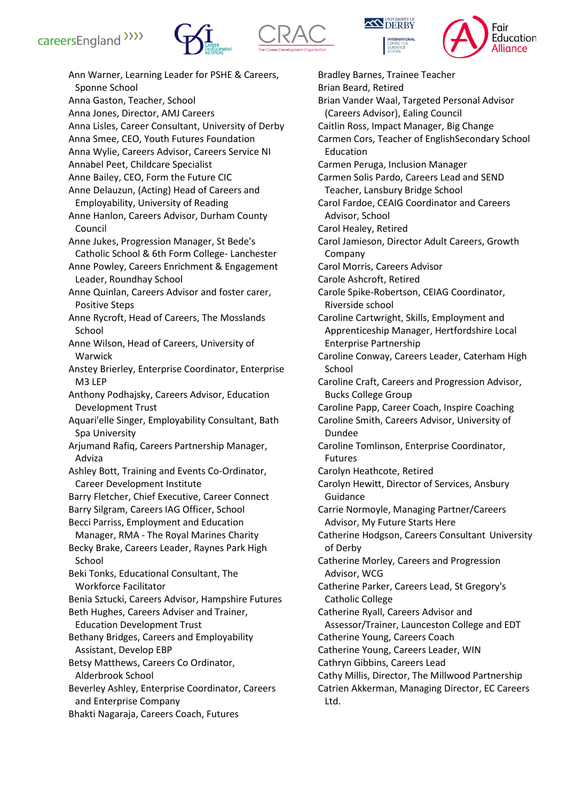







Ann Warner, Learning Leader for PSHE & Careers, Sponne School Anna Gaston, Teacher, School Anna Jones, Director, AMJ Careers Anna Lisles, Career Consultant, University of Derby Anna Smee, CEO, Youth Futures Foundation Anna Wylie, Careers Advisor, Careers Service NI Annabel Peet, Childcare Specialist Anne Bailey, CEO, Form the Future CIC Anne Delauzun, (Acting) Head of Careers and Employability, University of Reading Anne Hanlon, Careers Advisor, Durham County Council Anne Jukes, Progression Manager, St Bede's Catholic School & 6th Form College- Lanchester Anne Powley, Careers Enrichment & Engagement Leader, Roundhay School Anne Quinlan, Careers Advisor and foster carer, Positive Steps Anne Rycroft, Head of Careers, The Mosslands School Anne Wilson, Head of Careers, University of Warwick Anstey Brierley, Enterprise Coordinator, Enterprise M3 LEP Anthony Podhajsky, Careers Advisor, Education Development Trust Aquari'elle Singer, Employability Consultant, Bath Spa University Arjumand Rafiq, Careers Partnership Manager, Adviza Ashley Bott, Training and Events Co-Ordinator, Career Development Institute Barry Fletcher, Chief Executive, Career Connect Barry Silgram, Careers IAG Officer, School Becci Parriss, Employment and Education Manager, RMA - The Royal Marines Charity Becky Brake, Careers Leader, Raynes Park High School Beki Tonks, Educational Consultant, The Workforce Facilitator Benia Sztucki, Careers Advisor, Hampshire Futures Beth Hughes, Careers Adviser and Trainer, Education Development Trust Bethany Bridges, Careers and Employability Assistant, Develop EBP Betsy Matthews, Careers Co Ordinator, Alderbrook School Beverley Ashley, Enterprise Coordinator, Careers and Enterprise Company Bhakti Nagaraja, Careers Coach, Futures

Bradley Barnes, Trainee Teacher Brian Beard, Retired Brian Vander Waal, Targeted Personal Advisor (Careers Advisor), Ealing Council Caitlin Ross, Impact Manager, Big Change Carmen Cors, Teacher of EnglishSecondary School Education Carmen Peruga, Inclusion Manager Carmen Solis Pardo, Careers Lead and SEND Teacher, Lansbury Bridge School Carol Fardoe, CEAIG Coordinator and Careers Advisor, School Carol Healey, Retired Carol Jamieson, Director Adult Careers, Growth Company Carol Morris, Careers Advisor Carole Ashcroft, Retired Carole Spike-Robertson, CEIAG Coordinator, Riverside school Caroline Cartwright, Skills, Employment and Apprenticeship Manager, Hertfordshire Local Enterprise Partnership Caroline Conway, Careers Leader, Caterham High School Caroline Craft, Careers and Progression Advisor, Bucks College Group Caroline Papp, Career Coach, Inspire Coaching Caroline Smith, Careers Advisor, University of Dundee Caroline Tomlinson, Enterprise Coordinator, Futures Carolyn Heathcote, Retired Carolyn Hewitt, Director of Services, Ansbury Guidance Carrie Normoyle, Managing Partner/Careers Advisor, My Future Starts Here Catherine Hodgson, Careers Consultant University of Derby Catherine Morley, Careers and Progression Advisor, WCG Catherine Parker, Careers Lead, St Gregory's Catholic College Catherine Ryall, Careers Advisor and Assessor/Trainer, Launceston College and EDT Catherine Young, Careers Coach Catherine Young, Careers Leader, WIN Cathryn Gibbins, Careers Lead Cathy Millis, Director, The Millwood Partnership Catrien Akkerman, Managing Director, EC Careers Ltd.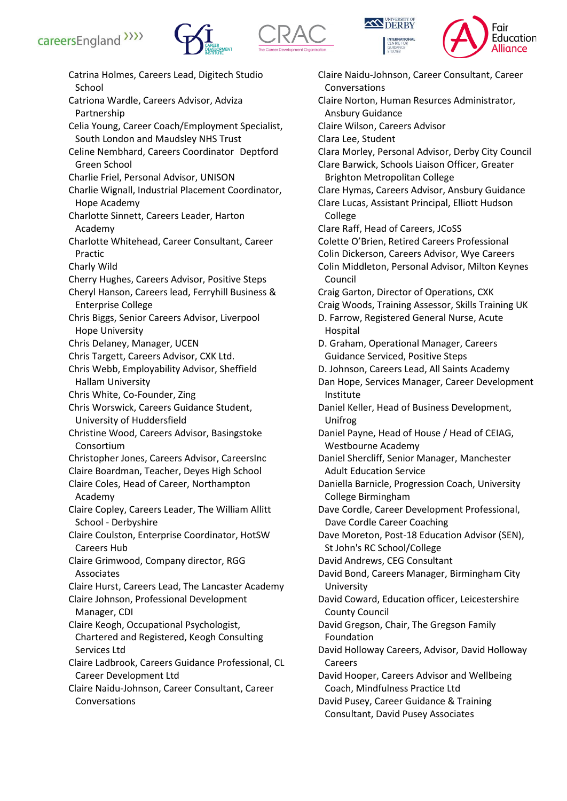







Catrina Holmes, Careers Lead, Digitech Studio School Catriona Wardle, Careers Advisor, Adviza Partnership Celia Young, Career Coach/Employment Specialist, South London and Maudsley NHS Trust Celine Nembhard, Careers Coordinator Deptford Green School Charlie Friel, Personal Advisor, UNISON Charlie Wignall, Industrial Placement Coordinator, Hope Academy Charlotte Sinnett, Careers Leader, Harton Academy Charlotte Whitehead, Career Consultant, Career Practic Charly Wild Cherry Hughes, Careers Advisor, Positive Steps Cheryl Hanson, Careers lead, Ferryhill Business & Enterprise College Chris Biggs, Senior Careers Advisor, Liverpool Hope University Chris Delaney, Manager, UCEN Chris Targett, Careers Advisor, CXK Ltd. Chris Webb, Employability Advisor, Sheffield Hallam University Chris White, Co-Founder, Zing Chris Worswick, Careers Guidance Student, University of Huddersfield Christine Wood, Careers Advisor, Basingstoke Consortium Christopher Jones, Careers Advisor, CareersInc Claire Boardman, Teacher, Deyes High School Claire Coles, Head of Career, Northampton Academy Claire Copley, Careers Leader, The William Allitt School - Derbyshire Claire Coulston, Enterprise Coordinator, HotSW Careers Hub Claire Grimwood, Company director, RGG Associates Claire Hurst, Careers Lead, The Lancaster Academy Claire Johnson, Professional Development Manager, CDI Claire Keogh, Occupational Psychologist, Chartered and Registered, Keogh Consulting Services Ltd Claire Ladbrook, Careers Guidance Professional, CL Career Development Ltd Claire Naidu-Johnson, Career Consultant, Career Conversations

Claire Naidu-Johnson, Career Consultant, Career Conversations Claire Norton, Human Resurces Administrator, Ansbury Guidance Claire Wilson, Careers Advisor Clara Lee, Student Clara Morley, Personal Advisor, Derby City Council Clare Barwick, Schools Liaison Officer, Greater Brighton Metropolitan College Clare Hymas, Careers Advisor, Ansbury Guidance Clare Lucas, Assistant Principal, Elliott Hudson College Clare Raff, Head of Careers, JCoSS Colette O'Brien, Retired Careers Professional Colin Dickerson, Careers Advisor, Wye Careers Colin Middleton, Personal Advisor, Milton Keynes Council Craig Garton, Director of Operations, CXK Craig Woods, Training Assessor, Skills Training UK D. Farrow, Registered General Nurse, Acute Hospital D. Graham, Operational Manager, Careers Guidance Serviced, Positive Steps D. Johnson, Careers Lead, All Saints Academy Dan Hope, Services Manager, Career Development Institute Daniel Keller, Head of Business Development, Unifrog Daniel Payne, Head of House / Head of CEIAG, Westbourne Academy Daniel Shercliff, Senior Manager, Manchester Adult Education Service Daniella Barnicle, Progression Coach, University College Birmingham Dave Cordle, Career Development Professional, Dave Cordle Career Coaching Dave Moreton, Post-18 Education Advisor (SEN), St John's RC School/College David Andrews, CEG Consultant David Bond, Careers Manager, Birmingham City University David Coward, Education officer, Leicestershire County Council David Gregson, Chair, The Gregson Family Foundation David Holloway Careers, Advisor, David Holloway Careers David Hooper, Careers Advisor and Wellbeing Coach, Mindfulness Practice Ltd David Pusey, Career Guidance & Training Consultant, David Pusey Associates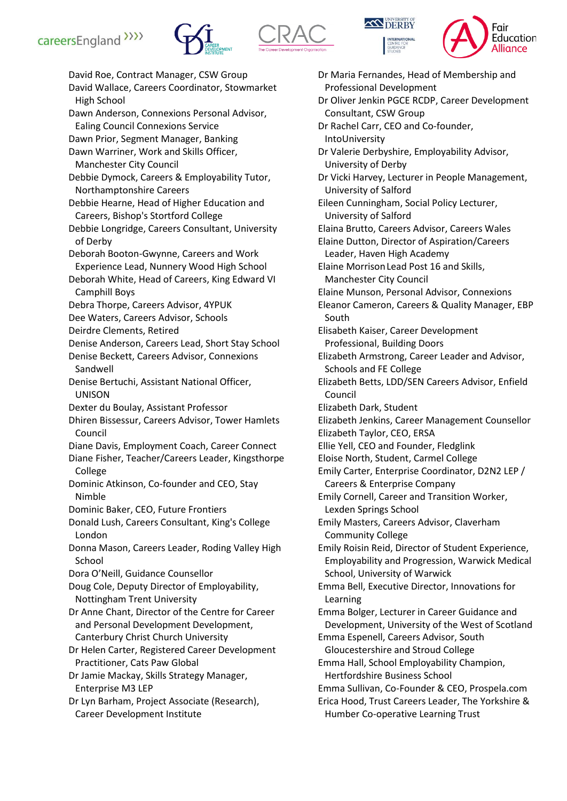







David Roe, Contract Manager, CSW Group David Wallace, Careers Coordinator, Stowmarket High School Dawn Anderson, Connexions Personal Advisor, Ealing Council Connexions Service Dawn Prior, Segment Manager, Banking Dawn Warriner, Work and Skills Officer, Manchester City Council Debbie Dymock, Careers & Employability Tutor, Northamptonshire Careers Debbie Hearne, Head of Higher Education and Careers, Bishop's Stortford College Debbie Longridge, Careers Consultant, University of Derby Deborah Booton-Gwynne, Careers and Work Experience Lead, Nunnery Wood High School Deborah White, Head of Careers, King Edward VI Camphill Boys Debra Thorpe, Careers Advisor, 4YPUK Dee Waters, Careers Advisor, Schools Deirdre Clements, Retired Denise Anderson, Careers Lead, Short Stay School Denise Beckett, Careers Advisor, Connexions Sandwell Denise Bertuchi, Assistant National Officer, UNISON Dexter du Boulay, Assistant Professor Dhiren Bissessur, Careers Advisor, Tower Hamlets Council Diane Davis, Employment Coach, Career Connect Diane Fisher, Teacher/Careers Leader, Kingsthorpe College Dominic Atkinson, Co-founder and CEO, Stay Nimble Dominic Baker, CEO, Future Frontiers Donald Lush, Careers Consultant, King's College London Donna Mason, Careers Leader, Roding Valley High School Dora O'Neill, Guidance Counsellor Doug Cole, Deputy Director of Employability, Nottingham Trent University Dr Anne Chant, Director of the Centre for Career and Personal Development Development, Canterbury Christ Church University Dr Helen Carter, Registered Career Development Practitioner, Cats Paw Global Dr Jamie Mackay, Skills Strategy Manager, Enterprise M3 LEP Dr Lyn Barham, Project Associate (Research), Career Development Institute

Dr Maria Fernandes, Head of Membership and Professional Development Dr Oliver Jenkin PGCE RCDP, Career Development Consultant, CSW Group Dr Rachel Carr, CEO and Co-founder, IntoUniversity Dr Valerie Derbyshire, Employability Advisor, University of Derby Dr Vicki Harvey, Lecturer in People Management, University of Salford Eileen Cunningham, Social Policy Lecturer, University of Salford Elaina Brutto, Careers Advisor, Careers Wales Elaine Dutton, Director of Aspiration/Careers Leader, Haven High Academy Elaine MorrisonLead Post 16 and Skills, Manchester City Council Elaine Munson, Personal Advisor, Connexions Eleanor Cameron, Careers & Quality Manager, EBP South Elisabeth Kaiser, Career Development Professional, Building Doors Elizabeth Armstrong, Career Leader and Advisor, Schools and FE College Elizabeth Betts, LDD/SEN Careers Advisor, Enfield Council Elizabeth Dark, Student Elizabeth Jenkins, Career Management Counsellor Elizabeth Taylor, CEO, ERSA Ellie Yell, CEO and Founder, Fledglink Eloise North, Student, Carmel College Emily Carter, Enterprise Coordinator, D2N2 LEP / Careers & Enterprise Company Emily Cornell, Career and Transition Worker, Lexden Springs School Emily Masters, Careers Advisor, Claverham Community College Emily Roisin Reid, Director of Student Experience, Employability and Progression, Warwick Medical School, University of Warwick Emma Bell, Executive Director, Innovations for Learning Emma Bolger, Lecturer in Career Guidance and Development, University of the West of Scotland Emma Espenell, Careers Advisor, South Gloucestershire and Stroud College Emma Hall, School Employability Champion, Hertfordshire Business School Emma Sullivan, Co-Founder & CEO, Prospela.com Erica Hood, Trust Careers Leader, The Yorkshire & Humber Co-operative Learning Trust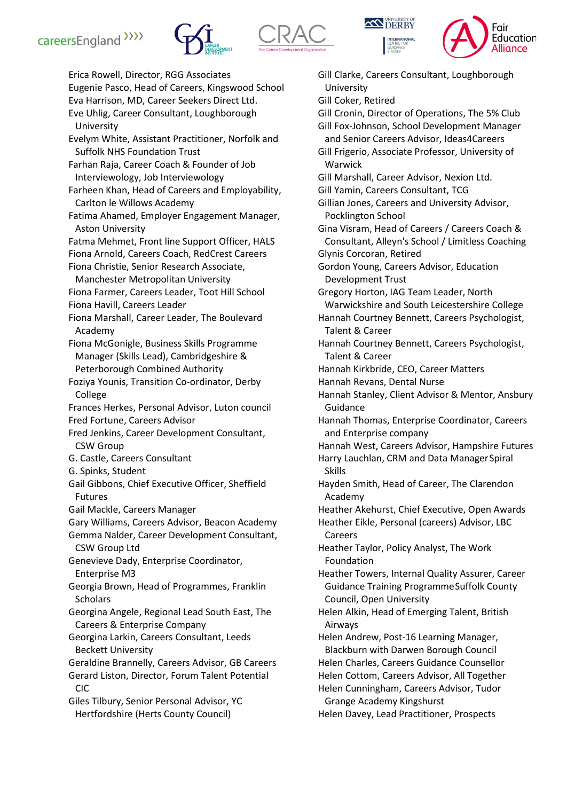







Erica Rowell, Director, RGG Associates Eugenie Pasco, Head of Careers, Kingswood School Eva Harrison, MD, Career Seekers Direct Ltd. Eve Uhlig, Career Consultant, Loughborough University Evelym White, Assistant Practitioner, Norfolk and Suffolk NHS Foundation Trust Farhan Raja, Career Coach & Founder of Job Interviewology, Job Interviewology Farheen Khan, Head of Careers and Employability, Carlton le Willows Academy Fatima Ahamed, Employer Engagement Manager, Aston University Fatma Mehmet, Front line Support Officer, HALS Fiona Arnold, Careers Coach, RedCrest Careers Fiona Christie, Senior Research Associate, Manchester Metropolitan University Fiona Farmer, Careers Leader, Toot Hill School Fiona Havill, Careers Leader Fiona Marshall, Career Leader, The Boulevard Academy Fiona McGonigle, Business Skills Programme Manager (Skills Lead), Cambridgeshire & Peterborough Combined Authority Foziya Younis, Transition Co-ordinator, Derby College Frances Herkes, Personal Advisor, Luton council Fred Fortune, Careers Advisor Fred Jenkins, Career Development Consultant, CSW Group G. Castle, Careers Consultant G. Spinks, Student Gail Gibbons, Chief Executive Officer, Sheffield Futures Gail Mackle, Careers Manager Gary Williams, Careers Advisor, Beacon Academy Gemma Nalder, Career Development Consultant, CSW Group Ltd Genevieve Dady, Enterprise Coordinator, Enterprise M3 Georgia Brown, Head of Programmes, Franklin **Scholars** Georgina Angele, Regional Lead South East, The Careers & Enterprise Company Georgina Larkin, Careers Consultant, Leeds Beckett University Geraldine Brannelly, Careers Advisor, GB Careers Gerard Liston, Director, Forum Talent Potential CIC Giles Tilbury, Senior Personal Advisor, YC Hertfordshire (Herts County Council)

Gill Clarke, Careers Consultant, Loughborough University Gill Coker, Retired Gill Cronin, Director of Operations, The 5% Club Gill Fox-Johnson, School Development Manager and Senior Careers Advisor, Ideas4Careers Gill Frigerio, Associate Professor, University of Warwick Gill Marshall, Career Advisor, Nexion Ltd. Gill Yamin, Careers Consultant, TCG Gillian Jones, Careers and University Advisor, Pocklington School Gina Visram, Head of Careers / Careers Coach & Consultant, Alleyn's School / Limitless Coaching Glynis Corcoran, Retired Gordon Young, Careers Advisor, Education Development Trust Gregory Horton, IAG Team Leader, North Warwickshire and South Leicestershire College Hannah Courtney Bennett, Careers Psychologist, Talent & Career Hannah Courtney Bennett, Careers Psychologist, Talent & Career Hannah Kirkbride, CEO, Career Matters Hannah Revans, Dental Nurse Hannah Stanley, Client Advisor & Mentor, Ansbury Guidance Hannah Thomas, Enterprise Coordinator, Careers and Enterprise company Hannah West, Careers Advisor, Hampshire Futures Harry Lauchlan, CRM and Data ManagerSpiral Skills Hayden Smith, Head of Career, The Clarendon Academy Heather Akehurst, Chief Executive, Open Awards Heather Eikle, Personal (careers) Advisor, LBC Careers Heather Taylor, Policy Analyst, The Work Foundation Heather Towers, Internal Quality Assurer, Career Guidance Training ProgrammeSuffolk County Council, Open University Helen Alkin, Head of Emerging Talent, British Airways Helen Andrew, Post-16 Learning Manager, Blackburn with Darwen Borough Council Helen Charles, Careers Guidance Counsellor Helen Cottom, Careers Advisor, All Together Helen Cunningham, Careers Advisor, Tudor Grange Academy Kingshurst Helen Davey, Lead Practitioner, Prospects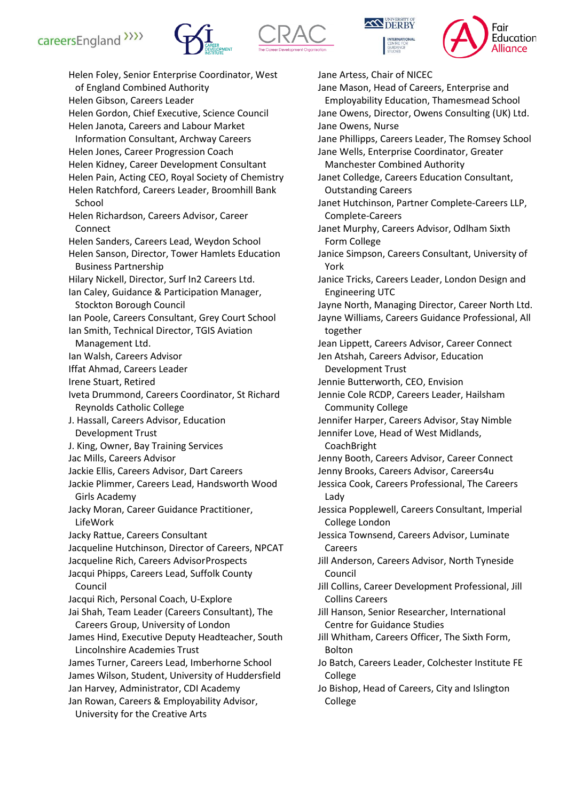







Helen Foley, Senior Enterprise Coordinator, West of England Combined Authority Helen Gibson, Careers Leader Helen Gordon, Chief Executive, Science Council Helen Janota, Careers and Labour Market Information Consultant, Archway Careers Helen Jones, Career Progression Coach Helen Kidney, Career Development Consultant Helen Pain, Acting CEO, Royal Society of Chemistry Helen Ratchford, Careers Leader, Broomhill Bank School Helen Richardson, Careers Advisor, Career Connect Helen Sanders, Careers Lead, Weydon School Helen Sanson, Director, Tower Hamlets Education Business Partnership Hilary Nickell, Director, Surf In2 Careers Ltd. Ian Caley, Guidance & Participation Manager, Stockton Borough Council Ian Poole, Careers Consultant, Grey Court School Ian Smith, Technical Director, TGIS Aviation Management Ltd. Ian Walsh, Careers Advisor Iffat Ahmad, Careers Leader Irene Stuart, Retired Iveta Drummond, Careers Coordinator, St Richard Reynolds Catholic College J. Hassall, Careers Advisor, Education Development Trust J. King, Owner, Bay Training Services Jac Mills, Careers Advisor Jackie Ellis, Careers Advisor, Dart Careers Jackie Plimmer, Careers Lead, Handsworth Wood Girls Academy Jacky Moran, Career Guidance Practitioner, LifeWork Jacky Rattue, Careers Consultant Jacqueline Hutchinson, Director of Careers, NPCAT Jacqueline Rich, Careers AdvisorProspects Jacqui Phipps, Careers Lead, Suffolk County Council Jacqui Rich, Personal Coach, U-Explore Jai Shah, Team Leader (Careers Consultant), The Careers Group, University of London James Hind, Executive Deputy Headteacher, South Lincolnshire Academies Trust James Turner, Careers Lead, Imberhorne School James Wilson, Student, University of Huddersfield Jan Harvey, Administrator, CDI Academy Jan Rowan, Careers & Employability Advisor, University for the Creative Arts York Lady Careers Council Bolton College College

Jane Artess, Chair of NICEC Jane Mason, Head of Careers, Enterprise and Employability Education, Thamesmead School Jane Owens, Director, Owens Consulting (UK) Ltd. Jane Owens, Nurse Jane Phillipps, Careers Leader, The Romsey School Jane Wells, Enterprise Coordinator, Greater Manchester Combined Authority Janet Colledge, Careers Education Consultant, Outstanding Careers Janet Hutchinson, Partner Complete-Careers LLP, Complete-Careers Janet Murphy, Careers Advisor, Odlham Sixth Form College Janice Simpson, Careers Consultant, University of Janice Tricks, Careers Leader, London Design and Engineering UTC Jayne North, Managing Director, Career North Ltd. Jayne Williams, Careers Guidance Professional, All together Jean Lippett, Careers Advisor, Career Connect Jen Atshah, Careers Advisor, Education Development Trust Jennie Butterworth, CEO, Envision Jennie Cole RCDP, Careers Leader, Hailsham Community College Jennifer Harper, Careers Advisor, Stay Nimble Jennifer Love, Head of West Midlands, CoachBright Jenny Booth, Careers Advisor, Career Connect Jenny Brooks, Careers Advisor, Careers4u Jessica Cook, Careers Professional, The Careers Jessica Popplewell, Careers Consultant, Imperial College London Jessica Townsend, Careers Advisor, Luminate Jill Anderson, Careers Advisor, North Tyneside Jill Collins, Career Development Professional, Jill Collins Careers Jill Hanson, Senior Researcher, International Centre for Guidance Studies Jill Whitham, Careers Officer, The Sixth Form, Jo Batch, Careers Leader, Colchester Institute FE Jo Bishop, Head of Careers, City and Islington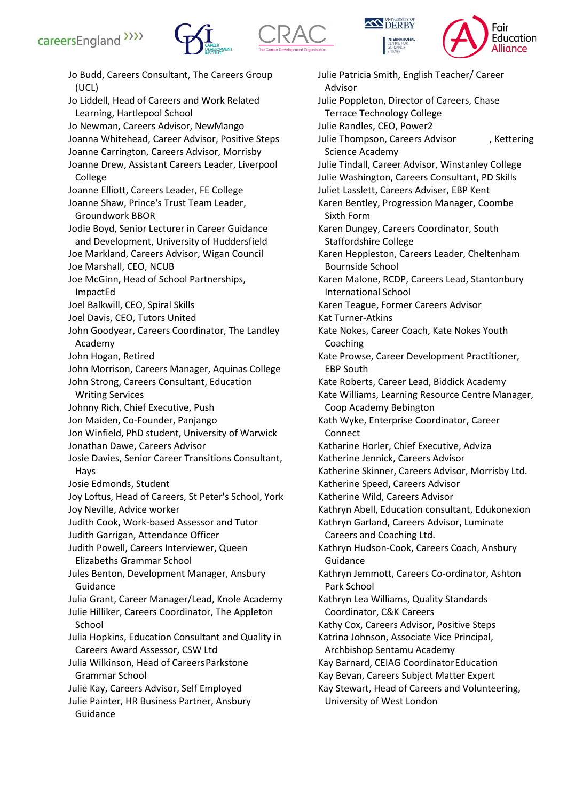







Jo Budd, Careers Consultant, The Careers Group (UCL) Jo Liddell, Head of Careers and Work Related Learning, Hartlepool School Jo Newman, Careers Advisor, NewMango Joanna Whitehead, Career Advisor, Positive Steps Joanne Carrington, Careers Advisor, Morrisby Joanne Drew, Assistant Careers Leader, Liverpool College Joanne Elliott, Careers Leader, FE College Joanne Shaw, Prince's Trust Team Leader, Groundwork BBOR Jodie Boyd, Senior Lecturer in Career Guidance and Development, University of Huddersfield Joe Markland, Careers Advisor, Wigan Council Joe Marshall, CEO, NCUB Joe McGinn, Head of School Partnerships, ImpactEd Joel Balkwill, CEO, Spiral Skills Joel Davis, CEO, Tutors United John Goodyear, Careers Coordinator, The Landley Academy John Hogan, Retired John Morrison, Careers Manager, Aquinas College John Strong, Careers Consultant, Education Writing Services Johnny Rich, Chief Executive, Push Jon Maiden, Co-Founder, Panjango Jon Winfield, PhD student, University of Warwick Jonathan Dawe, Careers Advisor Josie Davies, Senior Career Transitions Consultant, Hays Josie Edmonds, Student Joy Loftus, Head of Careers, St Peter's School, York Joy Neville, Advice worker Judith Cook, Work-based Assessor and Tutor Judith Garrigan, Attendance Officer Judith Powell, Careers Interviewer, Queen Elizabeths Grammar School Jules Benton, Development Manager, Ansbury Guidance Julia Grant, Career Manager/Lead, Knole Academy Julie Hilliker, Careers Coordinator, The Appleton School Julia Hopkins, Education Consultant and Quality in Careers Award Assessor, CSW Ltd Julia Wilkinson, Head of CareersParkstone Grammar School Julie Kay, Careers Advisor, Self Employed Julie Painter, HR Business Partner, Ansbury Guidance

Julie Patricia Smith, English Teacher/ Career Advisor Julie Poppleton, Director of Careers, Chase Terrace Technology College Julie Randles, CEO, Power2 Julie Thompson, Careers Advisor , Kettering Science Academy Julie Tindall, Career Advisor, Winstanley College Julie Washington, Careers Consultant, PD Skills Juliet Lasslett, Careers Adviser, EBP Kent Karen Bentley, Progression Manager, Coombe Sixth Form Karen Dungey, Careers Coordinator, South Staffordshire College Karen Heppleston, Careers Leader, Cheltenham Bournside School Karen Malone, RCDP, Careers Lead, Stantonbury International School Karen Teague, Former Careers Advisor Kat Turner-Atkins Kate Nokes, Career Coach, Kate Nokes Youth Coaching Kate Prowse, Career Development Practitioner, EBP South Kate Roberts, Career Lead, Biddick Academy Kate Williams, Learning Resource Centre Manager, Coop Academy Bebington Kath Wyke, Enterprise Coordinator, Career Connect Katharine Horler, Chief Executive, Adviza Katherine Jennick, Careers Advisor Katherine Skinner, Careers Advisor, Morrisby Ltd. Katherine Speed, Careers Advisor Katherine Wild, Careers Advisor Kathryn Abell, Education consultant, Edukonexion Kathryn Garland, Careers Advisor, Luminate Careers and Coaching Ltd. Kathryn Hudson-Cook, Careers Coach, Ansbury Guidance Kathryn Jemmott, Careers Co-ordinator, Ashton Park School Kathryn Lea Williams, Quality Standards Coordinator, C&K Careers Kathy Cox, Careers Advisor, Positive Steps Katrina Johnson, Associate Vice Principal, Archbishop Sentamu Academy Kay Barnard, CEIAG CoordinatorEducation Kay Bevan, Careers Subject Matter Expert Kay Stewart, Head of Careers and Volunteering, University of West London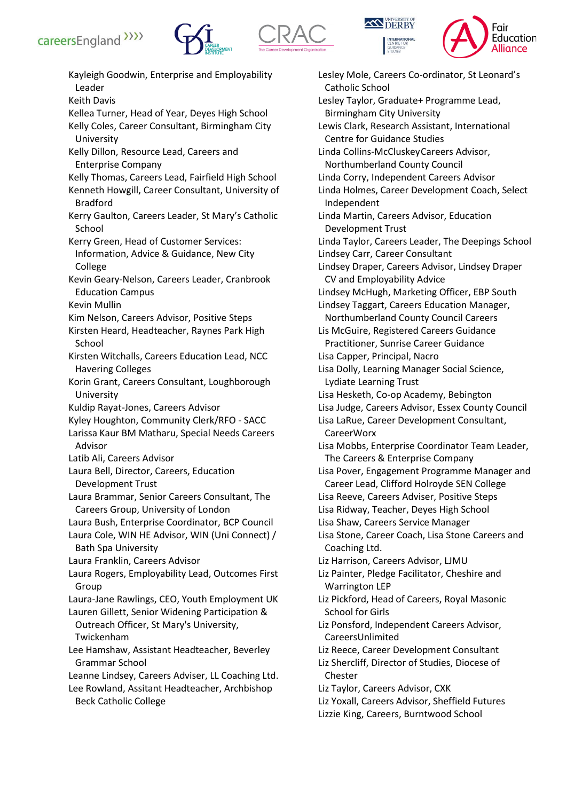







Kayleigh Goodwin, Enterprise and Employability Leader Keith Davis Kellea Turner, Head of Year, Deyes High School Kelly Coles, Career Consultant, Birmingham City University Kelly Dillon, Resource Lead, Careers and Enterprise Company Kelly Thomas, Careers Lead, Fairfield High School Kenneth Howgill, Career Consultant, University of Bradford Kerry Gaulton, Careers Leader, St Mary's Catholic School Kerry Green, Head of Customer Services: Information, Advice & Guidance, New City College Kevin Geary-Nelson, Careers Leader, Cranbrook Education Campus Kevin Mullin Kim Nelson, Careers Advisor, Positive Steps Kirsten Heard, Headteacher, Raynes Park High **School** Kirsten Witchalls, Careers Education Lead, NCC Havering Colleges Korin Grant, Careers Consultant, Loughborough University Kuldip Rayat-Jones, Careers Advisor Kyley Houghton, Community Clerk/RFO - SACC Larissa Kaur BM Matharu, Special Needs Careers Advisor Latib Ali, Careers Advisor Laura Bell, Director, Careers, Education Development Trust Laura Brammar, Senior Careers Consultant, The Careers Group, University of London Laura Bush, Enterprise Coordinator, BCP Council Laura Cole, WIN HE Advisor, WIN (Uni Connect) / Bath Spa University Laura Franklin, Careers Advisor Laura Rogers, Employability Lead, Outcomes First Group Laura-Jane Rawlings, CEO, Youth Employment UK Lauren Gillett, Senior Widening Participation & Outreach Officer, St Mary's University, Twickenham Lee Hamshaw, Assistant Headteacher, Beverley Grammar School Leanne Lindsey, Careers Adviser, LL Coaching Ltd. Lee Rowland, Assitant Headteacher, Archbishop Beck Catholic College

Lesley Mole, Careers Co-ordinator, St Leonard's Catholic School Lesley Taylor, Graduate+ Programme Lead, Birmingham City University Lewis Clark, Research Assistant, International Centre for Guidance Studies Linda Collins-McCluskeyCareers Advisor, Northumberland County Council Linda Corry, Independent Careers Advisor Linda Holmes, Career Development Coach, Select Independent Linda Martin, Careers Advisor, Education Development Trust Linda Taylor, Careers Leader, The Deepings School Lindsey Carr, Career Consultant Lindsey Draper, Careers Advisor, Lindsey Draper CV and Employability Advice Lindsey McHugh, Marketing Officer, EBP South Lindsey Taggart, Careers Education Manager, Northumberland County Council Careers Lis McGuire, Registered Careers Guidance Practitioner, Sunrise Career Guidance Lisa Capper, Principal, Nacro Lisa Dolly, Learning Manager Social Science, Lydiate Learning Trust Lisa Hesketh, Co-op Academy, Bebington Lisa Judge, Careers Advisor, Essex County Council Lisa LaRue, Career Development Consultant, CareerWorx Lisa Mobbs, Enterprise Coordinator Team Leader, The Careers & Enterprise Company Lisa Pover, Engagement Programme Manager and Career Lead, Clifford Holroyde SEN College Lisa Reeve, Careers Adviser, Positive Steps Lisa Ridway, Teacher, Deyes High School Lisa Shaw, Careers Service Manager Lisa Stone, Career Coach, Lisa Stone Careers and Coaching Ltd. Liz Harrison, Careers Advisor, LJMU Liz Painter, Pledge Facilitator, Cheshire and Warrington LEP Liz Pickford, Head of Careers, Royal Masonic School for Girls Liz Ponsford, Independent Careers Advisor, CareersUnlimited Liz Reece, Career Development Consultant Liz Shercliff, Director of Studies, Diocese of Chester Liz Taylor, Careers Advisor, CXK Liz Yoxall, Careers Advisor, Sheffield Futures Lizzie King, Careers, Burntwood School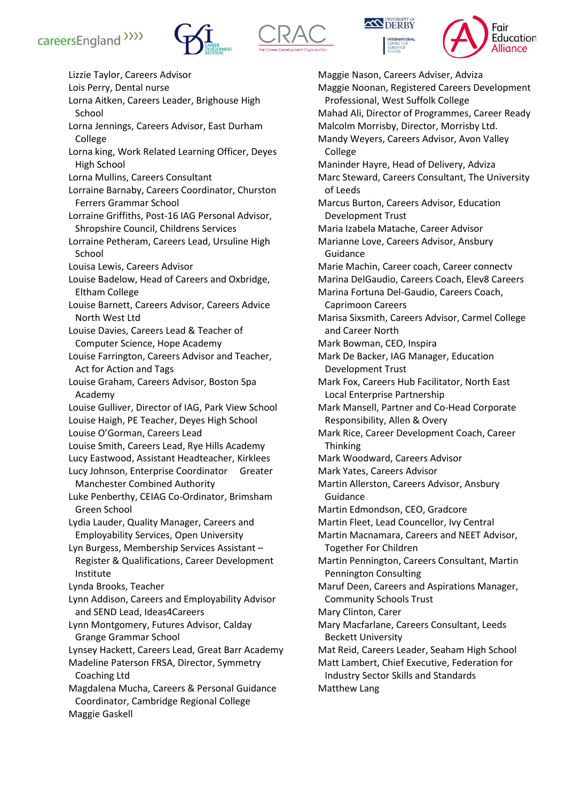





Maggie Nason, Careers Adviser, Adviza



Lizzie Taylor, Careers Advisor Lois Perry, Dental nurse Lorna Aitken, Careers Leader, Brighouse High School Lorna Jennings, Careers Advisor, East Durham College Lorna king, Work Related Learning Officer, Deyes High School Lorna Mullins, Careers Consultant Lorraine Barnaby, Careers Coordinator, Churston Ferrers Grammar School Lorraine Griffiths, Post-16 IAG Personal Advisor, Shropshire Council, Childrens Services Lorraine Petheram, Careers Lead, Ursuline High School Louisa Lewis, Careers Advisor Louise Badelow, Head of Careers and Oxbridge, Eltham College Louise Barnett, Careers Advisor, Careers Advice North West Ltd Louise Davies, Careers Lead & Teacher of Computer Science, Hope Academy Louise Farrington, Careers Advisor and Teacher, Act for Action and Tags Louise Graham, Careers Advisor, Boston Spa Academy Louise Gulliver, Director of IAG, Park View School Louise Haigh, PE Teacher, Deyes High School Louise O'Gorman, Careers Lead Louise Smith, Careers Lead, Rye Hills Academy Lucy Eastwood, Assistant Headteacher, Kirklees Lucy Johnson, Enterprise Coordinator Greater Manchester Combined Authority Luke Penberthy, CEIAG Co-Ordinator, Brimsham Green School Lydia Lauder, Quality Manager, Careers and Employability Services, Open University Lyn Burgess, Membership Services Assistant – Register & Qualifications, Career Development Institute Lynda Brooks, Teacher Lynn Addison, Careers and Employability Advisor and SEND Lead, Ideas4Careers Lynn Montgomery, Futures Advisor, Calday Grange Grammar School Lynsey Hackett, Careers Lead, Great Barr Academy Madeline Paterson FRSA, Director, Symmetry Coaching Ltd Magdalena Mucha, Careers & Personal Guidance Coordinator, Cambridge Regional College Maggie Gaskell

Maggie Noonan, Registered Careers Development Professional, West Suffolk College Mahad Ali, Director of Programmes, Career Ready Malcolm Morrisby, Director, Morrisby Ltd. Mandy Weyers, Careers Advisor, Avon Valley College Maninder Hayre, Head of Delivery, Adviza Marc Steward, Careers Consultant, The University of Leeds Marcus Burton, Careers Advisor, Education Development Trust Maria Izabela Matache, Career Advisor Marianne Love, Careers Advisor, Ansbury Guidance Marie Machin, Career coach, Career connectv Marina DelGaudio, Careers Coach, Elev8 Careers Marina Fortuna Del-Gaudio, Careers Coach, Caprimoon Careers Marisa Sixsmith, Careers Advisor, Carmel College and Career North Mark Bowman, CEO, Inspira Mark De Backer, IAG Manager, Education Development Trust Mark Fox, Careers Hub Facilitator, North East Local Enterprise Partnership Mark Mansell, Partner and Co-Head Corporate Responsibility, Allen & Overy Mark Rice, Career Development Coach, Career Thinking Mark Woodward, Careers Advisor Mark Yates, Careers Advisor Martin Allerston, Careers Advisor, Ansbury Guidance Martin Edmondson, CEO, Gradcore Martin Fleet, Lead Councellor, Ivy Central Martin Macnamara, Careers and NEET Advisor, Together For Children Martin Pennington, Careers Consultant, Martin Pennington Consulting Maruf Deen, Careers and Aspirations Manager, Community Schools Trust Mary Clinton, Carer Mary Macfarlane, Careers Consultant, Leeds Beckett University Mat Reid, Careers Leader, Seaham High School Matt Lambert, Chief Executive, Federation for Industry Sector Skills and Standards Matthew Lang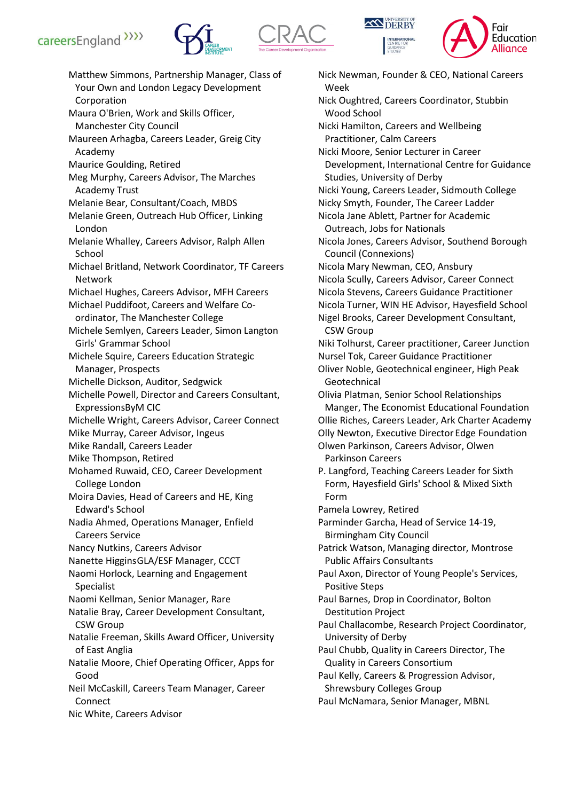







Matthew Simmons, Partnership Manager, Class of Your Own and London Legacy Development Corporation Maura O'Brien, Work and Skills Officer, Manchester City Council Maureen Arhagba, Careers Leader, Greig City Academy Maurice Goulding, Retired Meg Murphy, Careers Advisor, The Marches Academy Trust Melanie Bear, Consultant/Coach, MBDS Melanie Green, Outreach Hub Officer, Linking London Melanie Whalley, Careers Advisor, Ralph Allen School Michael Britland, Network Coordinator, TF Careers Network Michael Hughes, Careers Advisor, MFH Careers Michael Puddifoot, Careers and Welfare Coordinator, The Manchester College Michele Semlyen, Careers Leader, Simon Langton Girls' Grammar School Michele Squire, Careers Education Strategic Manager, Prospects Michelle Dickson, Auditor, Sedgwick Michelle Powell, Director and Careers Consultant, ExpressionsByM CIC Michelle Wright, Careers Advisor, Career Connect Mike Murray, Career Advisor, Ingeus Mike Randall, Careers Leader Mike Thompson, Retired Mohamed Ruwaid, CEO, Career Development College London Moira Davies, Head of Careers and HE, King Edward's School Nadia Ahmed, Operations Manager, Enfield Careers Service Nancy Nutkins, Careers Advisor Nanette HigginsGLA/ESF Manager, CCCT Naomi Horlock, Learning and Engagement Specialist Naomi Kellman, Senior Manager, Rare Natalie Bray, Career Development Consultant, CSW Group Natalie Freeman, Skills Award Officer, University of East Anglia Natalie Moore, Chief Operating Officer, Apps for Good Neil McCaskill, Careers Team Manager, Career Connect Nic White, Careers Advisor

Nick Newman, Founder & CEO, National Careers Week Nick Oughtred, Careers Coordinator, Stubbin Wood School Nicki Hamilton, Careers and Wellbeing Practitioner, Calm Careers Nicki Moore, Senior Lecturer in Career Development, International Centre for Guidance Studies, University of Derby Nicki Young, Careers Leader, Sidmouth College Nicky Smyth, Founder, The Career Ladder Nicola Jane Ablett, Partner for Academic Outreach, Jobs for Nationals Nicola Jones, Careers Advisor, Southend Borough Council (Connexions) Nicola Mary Newman, CEO, Ansbury Nicola Scully, Careers Advisor, Career Connect Nicola Stevens, Careers Guidance Practitioner Nicola Turner, WIN HE Advisor, Hayesfield School Nigel Brooks, Career Development Consultant, CSW Group Niki Tolhurst, Career practitioner, Career Junction Nursel Tok, Career Guidance Practitioner Oliver Noble, Geotechnical engineer, High Peak Geotechnical Olivia Platman, Senior School Relationships Manger, The Economist Educational Foundation Ollie Riches, Careers Leader, Ark Charter Academy Olly Newton, Executive Director Edge Foundation Olwen Parkinson, Careers Advisor, Olwen Parkinson Careers P. Langford, Teaching Careers Leader for Sixth Form, Hayesfield Girls' School & Mixed Sixth Form Pamela Lowrey, Retired Parminder Garcha, Head of Service 14-19, Birmingham City Council Patrick Watson, Managing director, Montrose Public Affairs Consultants Paul Axon, Director of Young People's Services, Positive Steps Paul Barnes, Drop in Coordinator, Bolton Destitution Project Paul Challacombe, Research Project Coordinator, University of Derby Paul Chubb, Quality in Careers Director, The Quality in Careers Consortium Paul Kelly, Careers & Progression Advisor, Shrewsbury Colleges Group Paul McNamara, Senior Manager, MBNL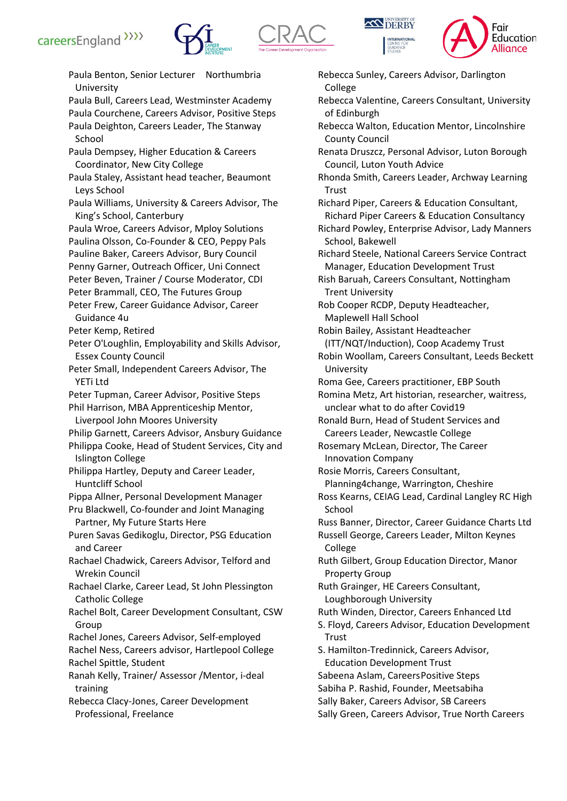







Paula Benton, Senior Lecturer Northumbria University Paula Bull, Careers Lead, Westminster Academy Paula Courchene, Careers Advisor, Positive Steps Paula Deighton, Careers Leader, The Stanway School Paula Dempsey, Higher Education & Careers Coordinator, New City College Paula Staley, Assistant head teacher, Beaumont Leys School Paula Williams, University & Careers Advisor, The King's School, Canterbury Paula Wroe, Careers Advisor, Mploy Solutions Paulina Olsson, Co-Founder & CEO, Peppy Pals Pauline Baker, Careers Advisor, Bury Council Penny Garner, Outreach Officer, Uni Connect Peter Beven, Trainer / Course Moderator, CDI Peter Brammall, CEO, The Futures Group Peter Frew, Career Guidance Advisor, Career Guidance 4u Peter Kemp, Retired Peter O'Loughlin, Employability and Skills Advisor, Essex County Council Peter Small, Independent Careers Advisor, The YETi Ltd Peter Tupman, Career Advisor, Positive Steps Phil Harrison, MBA Apprenticeship Mentor, Liverpool John Moores University Philip Garnett, Careers Advisor, Ansbury Guidance Philippa Cooke, Head of Student Services, City and Islington College Philippa Hartley, Deputy and Career Leader, Huntcliff School Pippa Allner, Personal Development Manager Pru Blackwell, Co-founder and Joint Managing Partner, My Future Starts Here Puren Savas Gedikoglu, Director, PSG Education and Career Rachael Chadwick, Careers Advisor, Telford and Wrekin Council Rachael Clarke, Career Lead, St John Plessington Catholic College Rachel Bolt, Career Development Consultant, CSW Group Rachel Jones, Careers Advisor, Self-employed Rachel Ness, Careers advisor, Hartlepool College Rachel Spittle, Student Ranah Kelly, Trainer/ Assessor /Mentor, i-deal training Rebecca Clacy-Jones, Career Development Professional, Freelance

Rebecca Sunley, Careers Advisor, Darlington College Rebecca Valentine, Careers Consultant, University of Edinburgh Rebecca Walton, Education Mentor, Lincolnshire County Council Renata Druszcz, Personal Advisor, Luton Borough Council, Luton Youth Advice Rhonda Smith, Careers Leader, Archway Learning **Trust** Richard Piper, Careers & Education Consultant, Richard Piper Careers & Education Consultancy Richard Powley, Enterprise Advisor, Lady Manners School, Bakewell Richard Steele, National Careers Service Contract Manager, Education Development Trust Rish Baruah, Careers Consultant, Nottingham Trent University Rob Cooper RCDP, Deputy Headteacher, Maplewell Hall School Robin Bailey, Assistant Headteacher (ITT/NQT/Induction), Coop Academy Trust Robin Woollam, Careers Consultant, Leeds Beckett University Roma Gee, Careers practitioner, EBP South Romina Metz, Art historian, researcher, waitress, unclear what to do after Covid19 Ronald Burn, Head of Student Services and Careers Leader, Newcastle College Rosemary McLean, Director, The Career Innovation Company Rosie Morris, Careers Consultant, Planning4change, Warrington, Cheshire Ross Kearns, CEIAG Lead, Cardinal Langley RC High School Russ Banner, Director, Career Guidance Charts Ltd Russell George, Careers Leader, Milton Keynes College Ruth Gilbert, Group Education Director, Manor Property Group Ruth Grainger, HE Careers Consultant, Loughborough University Ruth Winden, Director, Careers Enhanced Ltd S. Floyd, Careers Advisor, Education Development Trust S. Hamilton-Tredinnick, Careers Advisor, Education Development Trust Sabeena Aslam, CareersPositive Steps Sabiha P. Rashid, Founder, Meetsabiha Sally Baker, Careers Advisor, SB Careers Sally Green, Careers Advisor, True North Careers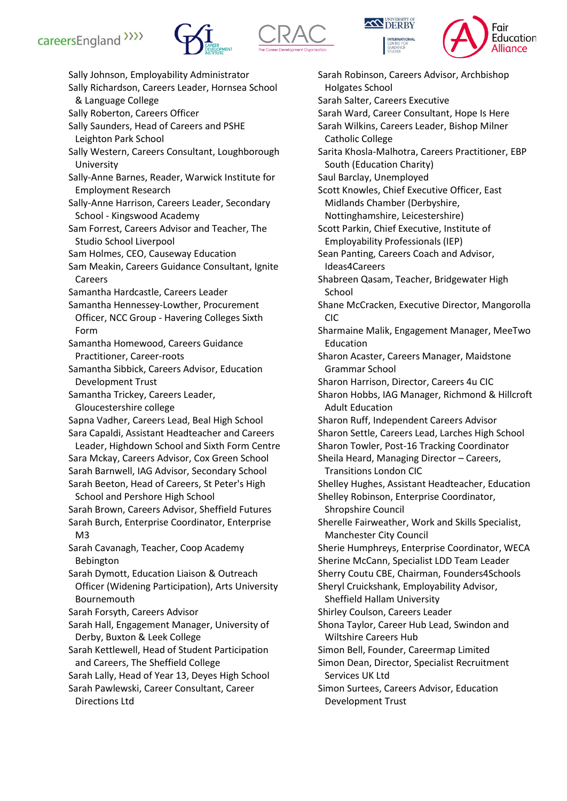







Sally Johnson, Employability Administrator Sally Richardson, Careers Leader, Hornsea School & Language College Sally Roberton, Careers Officer Sally Saunders, Head of Careers and PSHE Leighton Park School Sally Western, Careers Consultant, Loughborough University Sally-Anne Barnes, Reader, Warwick Institute for Employment Research Sally-Anne Harrison, Careers Leader, Secondary School - Kingswood Academy Sam Forrest, Careers Advisor and Teacher, The Studio School Liverpool Sam Holmes, CEO, Causeway Education Sam Meakin, Careers Guidance Consultant, Ignite Careers Samantha Hardcastle, Careers Leader Samantha Hennessey-Lowther, Procurement Officer, NCC Group - Havering Colleges Sixth Form Samantha Homewood, Careers Guidance Practitioner, Career-roots Samantha Sibbick, Careers Advisor, Education Development Trust Samantha Trickey, Careers Leader, Gloucestershire college Sapna Vadher, Careers Lead, Beal High School Sara Capaldi, Assistant Headteacher and Careers Leader, Highdown School and Sixth Form Centre Sara Mckay, Careers Advisor, Cox Green School Sarah Barnwell, IAG Advisor, Secondary School Sarah Beeton, Head of Careers, St Peter's High School and Pershore High School Sarah Brown, Careers Advisor, Sheffield Futures Sarah Burch, Enterprise Coordinator, Enterprise M3 Sarah Cavanagh, Teacher, Coop Academy Bebington Sarah Dymott, Education Liaison & Outreach Officer (Widening Participation), Arts University Bournemouth Sarah Forsyth, Careers Advisor Sarah Hall, Engagement Manager, University of Derby, Buxton & Leek College Sarah Kettlewell, Head of Student Participation and Careers, The Sheffield College Sarah Lally, Head of Year 13, Deyes High School Sarah Pawlewski, Career Consultant, Career Directions Ltd

Sarah Robinson, Careers Advisor, Archbishop Holgates School Sarah Salter, Careers Executive Sarah Ward, Career Consultant, Hope Is Here Sarah Wilkins, Careers Leader, Bishop Milner Catholic College Sarita Khosla-Malhotra, Careers Practitioner, EBP South (Education Charity) Saul Barclay, Unemployed Scott Knowles, Chief Executive Officer, East Midlands Chamber (Derbyshire, Nottinghamshire, Leicestershire) Scott Parkin, Chief Executive, Institute of Employability Professionals (IEP) Sean Panting, Careers Coach and Advisor, Ideas4Careers Shabreen Qasam, Teacher, Bridgewater High School Shane McCracken, Executive Director, Mangorolla CIC Sharmaine Malik, Engagement Manager, MeeTwo Education Sharon Acaster, Careers Manager, Maidstone Grammar School Sharon Harrison, Director, Careers 4u CIC Sharon Hobbs, IAG Manager, Richmond & Hillcroft Adult Education Sharon Ruff, Independent Careers Advisor Sharon Settle, Careers Lead, Larches High School Sharon Towler, Post-16 Tracking Coordinator Sheila Heard, Managing Director – Careers, Transitions London CIC Shelley Hughes, Assistant Headteacher, Education Shelley Robinson, Enterprise Coordinator, Shropshire Council Sherelle Fairweather, Work and Skills Specialist, Manchester City Council Sherie Humphreys, Enterprise Coordinator, WECA Sherine McCann, Specialist LDD Team Leader Sherry Coutu CBE, Chairman, Founders4Schools Sheryl Cruickshank, Employability Advisor, Sheffield Hallam University Shirley Coulson, Careers Leader Shona Taylor, Career Hub Lead, Swindon and Wiltshire Careers Hub Simon Bell, Founder, Careermap Limited Simon Dean, Director, Specialist Recruitment Services UK Ltd Simon Surtees, Careers Advisor, Education Development Trust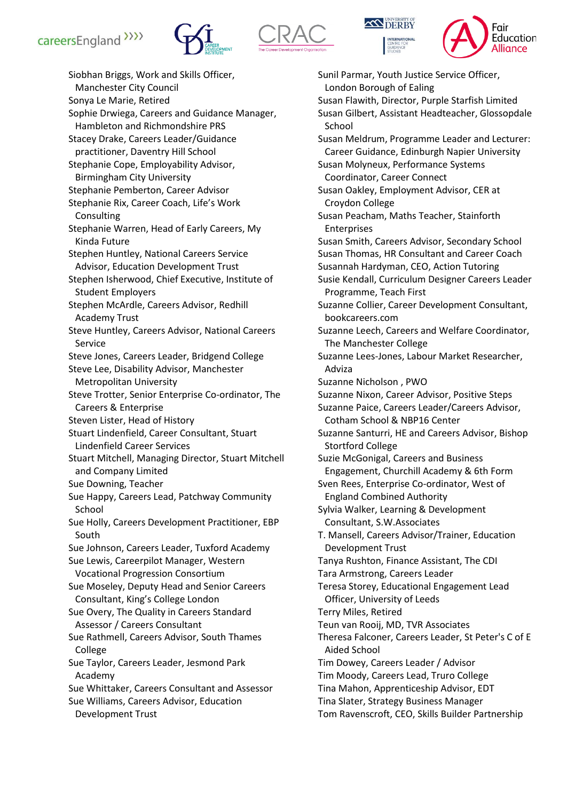







Siobhan Briggs, Work and Skills Officer, Manchester City Council Sonya Le Marie, Retired Sophie Drwiega, Careers and Guidance Manager, Hambleton and Richmondshire PRS Stacey Drake, Careers Leader/Guidance practitioner, Daventry Hill School Stephanie Cope, Employability Advisor, Birmingham City University Stephanie Pemberton, Career Advisor Stephanie Rix, Career Coach, Life's Work Consulting Stephanie Warren, Head of Early Careers, My Kinda Future Stephen Huntley, National Careers Service Advisor, Education Development Trust Stephen Isherwood, Chief Executive, Institute of Student Employers Stephen McArdle, Careers Advisor, Redhill Academy Trust Steve Huntley, Careers Advisor, National Careers Service Steve Jones, Careers Leader, Bridgend College Steve Lee, Disability Advisor, Manchester Metropolitan University Steve Trotter, Senior Enterprise Co-ordinator, The Careers & Enterprise Steven Lister, Head of History Stuart Lindenfield, Career Consultant, Stuart Lindenfield Career Services Stuart Mitchell, Managing Director, Stuart Mitchell and Company Limited Sue Downing, Teacher Sue Happy, Careers Lead, Patchway Community School Sue Holly, Careers Development Practitioner, EBP South Sue Johnson, Careers Leader, Tuxford Academy Sue Lewis, Careerpilot Manager, Western Vocational Progression Consortium Sue Moseley, Deputy Head and Senior Careers Consultant, King's College London Sue Overy, The Quality in Careers Standard Assessor / Careers Consultant Sue Rathmell, Careers Advisor, South Thames College Sue Taylor, Careers Leader, Jesmond Park Academy Sue Whittaker, Careers Consultant and Assessor Sue Williams, Careers Advisor, Education Development Trust

Sunil Parmar, Youth Justice Service Officer, London Borough of Ealing Susan Flawith, Director, Purple Starfish Limited Susan Gilbert, Assistant Headteacher, Glossopdale School Susan Meldrum, Programme Leader and Lecturer: Career Guidance, Edinburgh Napier University Susan Molyneux, Performance Systems Coordinator, Career Connect Susan Oakley, Employment Advisor, CER at Croydon College Susan Peacham, Maths Teacher, Stainforth Enterprises Susan Smith, Careers Advisor, Secondary School Susan Thomas, HR Consultant and Career Coach Susannah Hardyman, CEO, Action Tutoring Susie Kendall, Curriculum Designer Careers Leader Programme, Teach First Suzanne Collier, Career Development Consultant, bookcareers.com Suzanne Leech, Careers and Welfare Coordinator, The Manchester College Suzanne Lees-Jones, Labour Market Researcher, Adviza Suzanne Nicholson , PWO Suzanne Nixon, Career Advisor, Positive Steps Suzanne Paice, Careers Leader/Careers Advisor, Cotham School & NBP16 Center Suzanne Santurri, HE and Careers Advisor, Bishop Stortford College Suzie McGonigal, Careers and Business Engagement, Churchill Academy & 6th Form Sven Rees, Enterprise Co-ordinator, West of England Combined Authority Sylvia Walker, Learning & Development Consultant, S.W.Associates T. Mansell, Careers Advisor/Trainer, Education Development Trust Tanya Rushton, Finance Assistant, The CDI Tara Armstrong, Careers Leader Teresa Storey, Educational Engagement Lead Officer, University of Leeds Terry Miles, Retired Teun van Rooij, MD, TVR Associates Theresa Falconer, Careers Leader, St Peter's C of E Aided School Tim Dowey, Careers Leader / Advisor Tim Moody, Careers Lead, Truro College Tina Mahon, Apprenticeship Advisor, EDT Tina Slater, Strategy Business Manager Tom Ravenscroft, CEO, Skills Builder Partnership